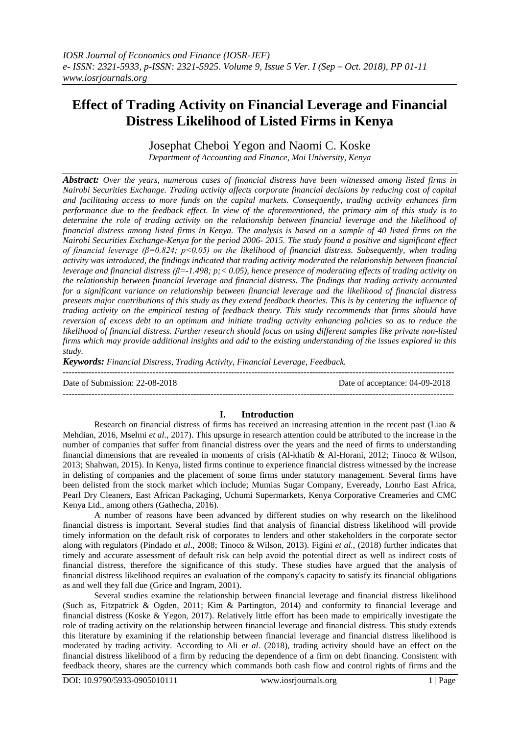# **Effect of Trading Activity on Financial Leverage and Financial Distress Likelihood of Listed Firms in Kenya**

Josephat Cheboi Yegon and Naomi C. Koske *Department of Accounting and Finance, Moi University, Kenya*

*Abstract: Over the years, numerous cases of financial distress have been witnessed among listed firms in Nairobi Securities Exchange. Trading activity affects corporate financial decisions by reducing cost of capital and facilitating access to more funds on the capital markets. Consequently, trading activity enhances firm performance due to the feedback effect. In view of the aforementioned, the primary aim of this study is to determine the role of trading activity on the relationship between financial leverage and the likelihood of financial distress among listed firms in Kenya. The analysis is based on a sample of 40 listed firms on the Nairobi Securities Exchange-Kenya for the period 2006- 2015. The study found a positive and significant effect of financial leverage (β=0.824; p<0.05) on the likelihood of financial distress. Subsequently, when trading activity was introduced, the findings indicated that trading activity moderated the relationship between financial leverage and financial distress (β=-1.498; p;< 0.05), hence presence of moderating effects of trading activity on the relationship between financial leverage and financial distress. The findings that trading activity accounted for a significant variance on relationship between financial leverage and the likelihood of financial distress presents major contributions of this study as they extend feedback theories. This is by centering the influence of trading activity on the empirical testing of feedback theory. This study recommends that firms should have reversion of excess debt to an optimum and initiate trading activity enhancing policies so as to reduce the likelihood of financial distress. Further research should focus on using different samples like private non-listed firms which may provide additional insights and add to the existing understanding of the issues explored in this study.*

*Keywords: Financial Distress, Trading Activity, Financial Leverage, Feedback.*

--------------------------------------------------------------------------------------------------------------------------------------- Date of Submission: 22-08-2018 Date of acceptance: 04-09-2018 ---------------------------------------------------------------------------------------------------------------------------------------

# **I. Introduction**

Research on financial distress of firms has received an increasing attention in the recent past (Liao & Mehdian, 2016, Mselmi *et al.,* 2017). This upsurge in research attention could be attributed to the increase in the number of companies that suffer from financial distress over the years and the need of firms to understanding financial dimensions that are revealed in moments of crisis (Al-khatib & Al-Horani, 2012; Tinoco & Wilson, 2013; Shahwan, 2015). In Kenya, listed firms continue to experience financial distress witnessed by the increase in delisting of companies and the placement of some firms under statutory management. Several firms have been delisted from the stock market which include; Mumias Sugar Company, Eveready, Lonrho East Africa, Pearl Dry Cleaners, East African Packaging, Uchumi Supermarkets, Kenya Corporative Creameries and CMC Kenya Ltd., among others (Gathecha, 2016).

A number of reasons have been advanced by different studies on why research on the likelihood financial distress is important. Several studies find that analysis of financial distress likelihood will provide timely information on the default risk of corporates to lenders and other stakeholders in the corporate sector along with regulators (Pindado *et al*., 2008; Tinoco & Wilson, 2013). Figini *et al.,* (2018) further indicates that timely and accurate assessment of default risk can help avoid the potential direct as well as indirect costs of financial distress, therefore the significance of this study. These studies have argued that the analysis of financial distress likelihood requires an evaluation of the company's capacity to satisfy its financial obligations as and well they fall due (Grice and Ingram, 2001).

Several studies examine the relationship between financial leverage and financial distress likelihood (Such as, Fitzpatrick & Ogden, 2011; Kim & Partington, 2014) and conformity to financial leverage and financial distress (Koske & Yegon, 2017). Relatively little effort has been made to empirically investigate the role of trading activity on the relationship between financial leverage and financial distress. This study extends this literature by examining if the relationship between financial leverage and financial distress likelihood is moderated by trading activity. According to Ali *et al*. (2018), trading activity should have an effect on the financial distress likelihood of a firm by reducing the dependence of a firm on debt financing. Consistent with feedback theory, shares are the currency which commands both cash flow and control rights of firms and the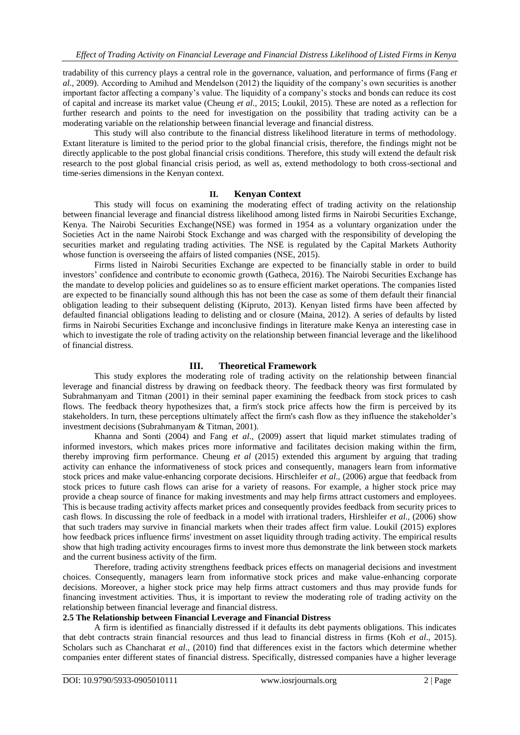tradability of this currency plays a central role in the governance, valuation, and performance of firms (Fang *et al.,* 2009). According to Amihud and Mendelson (2012) the liquidity of the company"s own securities is another important factor affecting a company"s value. The liquidity of a company"s stocks and bonds can reduce its cost of capital and increase its market value (Cheung *et al.,* 2015; Loukil, 2015). These are noted as a reflection for further research and points to the need for investigation on the possibility that trading activity can be a moderating variable on the relationship between financial leverage and financial distress.

This study will also contribute to the financial distress likelihood literature in terms of methodology. Extant literature is limited to the period prior to the global financial crisis, therefore, the findings might not be directly applicable to the post global financial crisis conditions. Therefore, this study will extend the default risk research to the post global financial crisis period, as well as, extend methodology to both cross-sectional and time-series dimensions in the Kenyan context.

# **II. Kenyan Context**

This study will focus on examining the moderating effect of trading activity on the relationship between financial leverage and financial distress likelihood among listed firms in Nairobi Securities Exchange, Kenya. The Nairobi Securities Exchange(NSE) was formed in 1954 as a voluntary organization under the Societies Act in the name Nairobi Stock Exchange and was charged with the responsibility of developing the securities market and regulating trading activities. The NSE is regulated by the Capital Markets Authority whose function is overseeing the affairs of listed companies (NSE, 2015).

Firms listed in Nairobi Securities Exchange are expected to be financially stable in order to build investors" confidence and contribute to economic growth (Gatheca, 2016). The Nairobi Securities Exchange has the mandate to develop policies and guidelines so as to ensure efficient market operations. The companies listed are expected to be financially sound although this has not been the case as some of them default their financial obligation leading to their subsequent delisting (Kipruto, 2013). Kenyan listed firms have been affected by defaulted financial obligations leading to delisting and or closure (Maina, 2012). A series of defaults by listed firms in Nairobi Securities Exchange and inconclusive findings in literature make Kenya an interesting case in which to investigate the role of trading activity on the relationship between financial leverage and the likelihood of financial distress.

# **III. Theoretical Framework**

This study explores the moderating role of trading activity on the relationship between financial leverage and financial distress by drawing on feedback theory. The feedback theory was first formulated by Subrahmanyam and Titman (2001) in their seminal paper examining the feedback from stock prices to cash flows. The feedback theory hypothesizes that, a firm's stock price affects how the firm is perceived by its stakeholders. In turn, these perceptions ultimately affect the firm's cash flow as they influence the stakeholder"s investment decisions (Subrahmanyam & Titman, 2001).

Khanna and Sonti (2004) and Fang *et al*., (2009) assert that liquid market stimulates trading of informed investors, which makes prices more informative and facilitates decision making within the firm, thereby improving firm performance. Cheung *et al* (2015) extended this argument by arguing that trading activity can enhance the informativeness of stock prices and consequently, managers learn from informative stock prices and make value-enhancing corporate decisions. Hirschleifer *et al*., (2006) argue that feedback from stock prices to future cash flows can arise for a variety of reasons. For example, a higher stock price may provide a cheap source of finance for making investments and may help firms attract customers and employees. This is because trading activity affects market prices and consequently provides feedback from security prices to cash flows. In discussing the role of feedback in a model with irrational traders, Hirshleifer *et al*., (2006) show that such traders may survive in financial markets when their trades affect firm value. Loukil (2015) explores how feedback prices influence firms' investment on asset liquidity through trading activity. The empirical results show that high trading activity encourages firms to invest more thus demonstrate the link between stock markets and the current business activity of the firm.

Therefore, trading activity strengthens feedback prices effects on managerial decisions and investment choices. Consequently, managers learn from informative stock prices and make value-enhancing corporate decisions. Moreover, a higher stock price may help firms attract customers and thus may provide funds for financing investment activities. Thus, it is important to review the moderating role of trading activity on the relationship between financial leverage and financial distress.

# **2.5 The Relationship between Financial Leverage and Financial Distress**

A firm is identified as financially distressed if it defaults its debt payments obligations. This indicates that debt contracts strain financial resources and thus lead to financial distress in firms (Koh *et al*., 2015). Scholars such as Chancharat *et al*., (2010) find that differences exist in the factors which determine whether companies enter different states of financial distress. Specifically, distressed companies have a higher leverage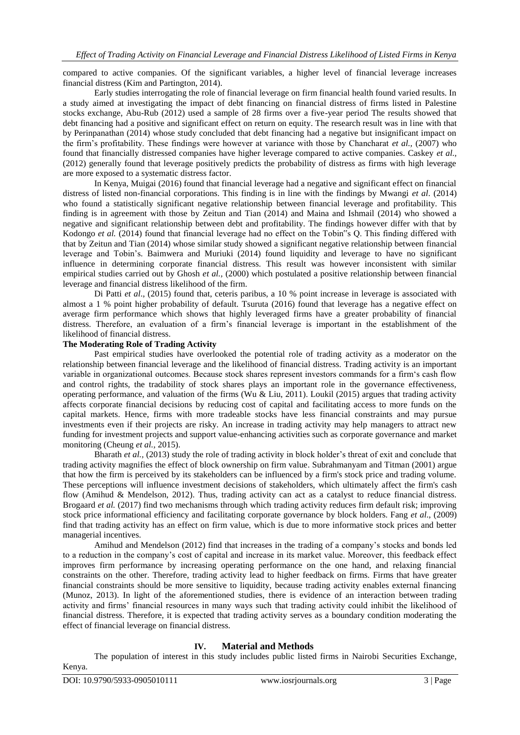compared to active companies. Of the significant variables, a higher level of financial leverage increases financial distress (Kim and Partington, 2014).

Early studies interrogating the role of financial leverage on firm financial health found varied results. In a study aimed at investigating the impact of debt financing on financial distress of firms listed in Palestine stocks exchange, Abu-Rub (2012) used a sample of 28 firms over a five-year period The results showed that debt financing had a positive and significant effect on return on equity. The research result was in line with that by Perinpanathan (2014) whose study concluded that debt financing had a negative but insignificant impact on the firm"s profitability. These findings were however at variance with those by Chancharat *et al.,* (2007) who found that financially distressed companies have higher leverage compared to active companies. Caskey *et al.,* (2012) generally found that leverage positively predicts the probability of distress as firms with high leverage are more exposed to a systematic distress factor.

In Kenya, Muigai (2016) found that financial leverage had a negative and significant effect on financial distress of listed non-financial corporations. This finding is in line with the findings by Mwangi *et al*. (2014) who found a statistically significant negative relationship between financial leverage and profitability. This finding is in agreement with those by Zeitun and Tian (2014) and Maina and Ishmail (2014) who showed a negative and significant relationship between debt and profitability. The findings however differ with that by Kodongo *et al.* (2014) found that financial leverage had no effect on the Tobin"s Q. This finding differed with that by Zeitun and Tian (2014) whose similar study showed a significant negative relationship between financial leverage and Tobin"s. Baimwera and Muriuki (2014) found liquidity and leverage to have no significant influence in determining corporate financial distress. This result was however inconsistent with similar empirical studies carried out by Ghosh *et al.,* (2000) which postulated a positive relationship between financial leverage and financial distress likelihood of the firm.

Di Patti *et al*., (2015) found that, ceteris paribus, a 10 % point increase in leverage is associated with almost a 1 % point higher probability of default. Tsuruta (2016) found that leverage has a negative effect on average firm performance which shows that highly leveraged firms have a greater probability of financial distress. Therefore, an evaluation of a firm"s financial leverage is important in the establishment of the likelihood of financial distress.

# **The Moderating Role of Trading Activity**

Past empirical studies have overlooked the potential role of trading activity as a moderator on the relationship between financial leverage and the likelihood of financial distress. Trading activity is an important variable in organizational outcomes. Because stock shares represent investors commands for a firm"s cash flow and control rights, the tradability of stock shares plays an important role in the governance effectiveness, operating performance, and valuation of the firms (Wu & Liu, 2011). Loukil (2015) argues that trading activity affects corporate financial decisions by reducing cost of capital and facilitating access to more funds on the capital markets. Hence, firms with more tradeable stocks have less financial constraints and may pursue investments even if their projects are risky. An increase in trading activity may help managers to attract new funding for investment projects and support value-enhancing activities such as corporate governance and market monitoring (Cheung *et al.,* 2015).

Bharath *et al.,* (2013) study the role of trading activity in block holder"s threat of exit and conclude that trading activity magnifies the effect of block ownership on firm value. Subrahmanyam and Titman (2001) argue that how the firm is perceived by its stakeholders can be influenced by a firm's stock price and trading volume. These perceptions will influence investment decisions of stakeholders, which ultimately affect the firm's cash flow (Amihud & Mendelson, 2012). Thus, trading activity can act as a catalyst to reduce financial distress. Brogaard *et al.* (2017) find two mechanisms through which trading activity reduces firm default risk; improving stock price informational efficiency and facilitating corporate governance by block holders. Fang *et al*., (2009) find that trading activity has an effect on firm value, which is due to more informative stock prices and better managerial incentives.

Amihud and Mendelson (2012) find that increases in the trading of a company"s stocks and bonds led to a reduction in the company"s cost of capital and increase in its market value. Moreover, this feedback effect improves firm performance by increasing operating performance on the one hand, and relaxing financial constraints on the other. Therefore, trading activity lead to higher feedback on firms. Firms that have greater financial constraints should be more sensitive to liquidity, because trading activity enables external financing (Munoz, 2013). In light of the aforementioned studies, there is evidence of an interaction between trading activity and firms" financial resources in many ways such that trading activity could inhibit the likelihood of financial distress. Therefore, it is expected that trading activity serves as a boundary condition moderating the effect of financial leverage on financial distress.

# **IV. Material and Methods**

The population of interest in this study includes public listed firms in Nairobi Securities Exchange, Kenya.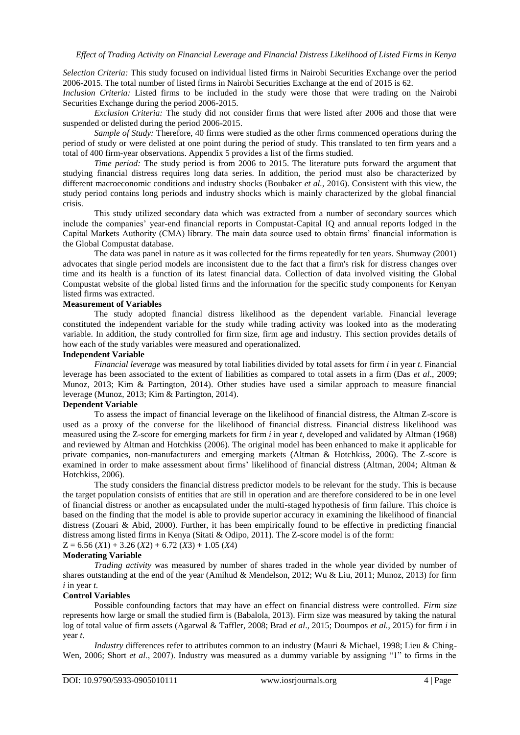*Selection Criteria:* This study focused on individual listed firms in Nairobi Securities Exchange over the period 2006-2015. The total number of listed firms in Nairobi Securities Exchange at the end of 2015 is 62.

*Inclusion Criteria:* Listed firms to be included in the study were those that were trading on the Nairobi Securities Exchange during the period 2006-2015.

*Exclusion Criteria:* The study did not consider firms that were listed after 2006 and those that were suspended or delisted during the period 2006-2015.

*Sample of Study:* Therefore, 40 firms were studied as the other firms commenced operations during the period of study or were delisted at one point during the period of study. This translated to ten firm years and a total of 400 firm-year observations. Appendix 5 provides a list of the firms studied.

*Time period:* The study period is from 2006 to 2015. The literature puts forward the argument that studying financial distress requires long data series. In addition, the period must also be characterized by different macroeconomic conditions and industry shocks (Boubaker *et al.,* 2016). Consistent with this view, the study period contains long periods and industry shocks which is mainly characterized by the global financial crisis.

This study utilized secondary data which was extracted from a number of secondary sources which include the companies" year-end financial reports in Compustat-Capital IQ and annual reports lodged in the Capital Markets Authority (CMA) library. The main data source used to obtain firms" financial information is the Global Compustat database.

The data was panel in nature as it was collected for the firms repeatedly for ten years. Shumway (2001) advocates that single period models are inconsistent due to the fact that a firm's risk for distress changes over time and its health is a function of its latest financial data. Collection of data involved visiting the Global Compustat website of the global listed firms and the information for the specific study components for Kenyan listed firms was extracted.

# **Measurement of Variables**

The study adopted financial distress likelihood as the dependent variable. Financial leverage constituted the independent variable for the study while trading activity was looked into as the moderating variable. In addition, the study controlled for firm size, firm age and industry. This section provides details of how each of the study variables were measured and operationalized.

# **Independent Variable**

*Financial leverage* was measured by total liabilities divided by total assets for firm *i* in year *t*. Financial leverage has been associated to the extent of liabilities as compared to total assets in a firm (Das *et al*., 2009; Munoz, 2013; Kim & Partington, 2014). Other studies have used a similar approach to measure financial leverage (Munoz, 2013; Kim & Partington, 2014).

# **Dependent Variable**

To assess the impact of financial leverage on the likelihood of financial distress, the Altman Z-score is used as a proxy of the converse for the likelihood of financial distress. Financial distress likelihood was measured using the Z-score for emerging markets for firm *i* in year *t*, developed and validated by Altman (1968) and reviewed by Altman and Hotchkiss (2006). The original model has been enhanced to make it applicable for private companies, non-manufacturers and emerging markets (Altman & Hotchkiss, 2006). The Z-score is examined in order to make assessment about firms' likelihood of financial distress (Altman, 2004; Altman & Hotchkiss, 2006)*.*

The study considers the financial distress predictor models to be relevant for the study. This is because the target population consists of entities that are still in operation and are therefore considered to be in one level of financial distress or another as encapsulated under the multi-staged hypothesis of firm failure. This choice is based on the finding that the model is able to provide superior accuracy in examining the likelihood of financial distress (Zouari & Abid, 2000). Further, it has been empirically found to be effective in predicting financial distress among listed firms in Kenya (Sitati & Odipo, 2011). The Z-score model is of the form:  $Z = 6.56 (X1) + 3.26 (X2) + 6.72 (X3) + 1.05 (X4)$ 

**Moderating Variable**

*Trading activity* was measured by number of shares traded in the whole year divided by number of shares outstanding at the end of the year (Amihud & Mendelson, 2012; Wu & Liu, 2011; Munoz, 2013) for firm *i* in year *t*.

# **Control Variables**

Possible confounding factors that may have an effect on financial distress were controlled. *Firm size* represents how large or small the studied firm is (Babalola, 2013). Firm size was measured by taking the natural log of total value of firm assets (Agarwal & Taffler, 2008; Brad *et al*., 2015; Doumpos *et al.*, 2015) for firm *i* in year *t*.

*Industry* differences refer to attributes common to an industry (Mauri & Michael, 1998; Lieu & Ching-Wen, 2006; Short *et al*., 2007). Industry was measured as a dummy variable by assigning "1" to firms in the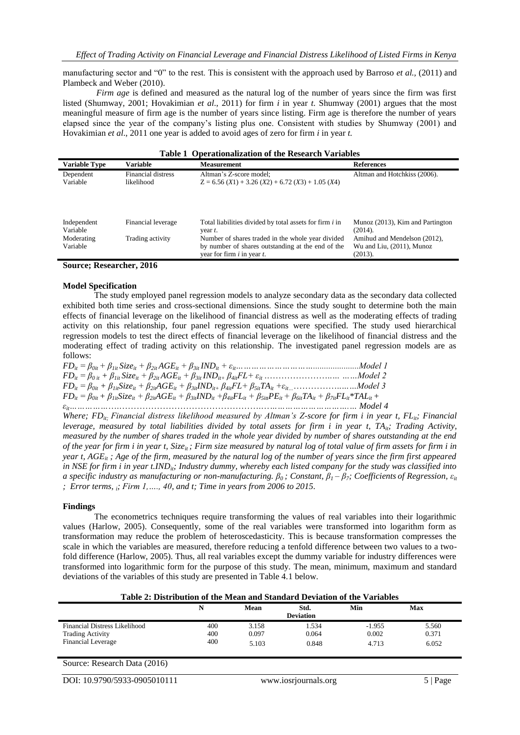manufacturing sector and "0" to the rest. This is consistent with the approach used by Barroso *et al.,* (2011) and Plambeck and Weber (2010).

*Firm age* is defined and measured as the natural log of the number of years since the firm was first listed (Shumway, 2001; Hovakimian *et al*., 2011) for firm *i* in year *t*. Shumway (2001) argues that the most meaningful measure of firm age is the number of years since listing. Firm age is therefore the number of years elapsed since the year of the company"s listing plus one. Consistent with studies by Shumway (2001) and Hovakimian *et al*., 2011 one year is added to avoid ages of zero for firm *i* in year *t.*

| Table 1 Operationalization of the Research Variables |                                  |                                                                                                                                           |                                                                      |  |  |
|------------------------------------------------------|----------------------------------|-------------------------------------------------------------------------------------------------------------------------------------------|----------------------------------------------------------------------|--|--|
| <b>Variable Type</b>                                 | Variable                         | <b>Measurement</b>                                                                                                                        | <b>References</b>                                                    |  |  |
| Dependent<br>Variable                                | Financial distress<br>likelihood | Altman's Z-score model:<br>$Z = 6.56 (X1) + 3.26 (X2) + 6.72 (X3) + 1.05 (X4)$                                                            | Altman and Hotchkiss (2006).                                         |  |  |
| Independent<br>Variable                              | Financial leverage               | Total liabilities divided by total assets for firm <i>i</i> in<br>year t.                                                                 | Munoz (2013), Kim and Partington<br>$(2014)$ .                       |  |  |
| Moderating<br>Variable                               | Trading activity                 | Number of shares traded in the whole year divided<br>by number of shares outstanding at the end of the<br>year for firm $i$ in year $t$ . | Amihud and Mendelson (2012),<br>Wu and Liu, (2011), Munoz<br>(2013). |  |  |
|                                                      |                                  |                                                                                                                                           |                                                                      |  |  |

#### **Table 1 Operationalization of the Research Variables**

#### **Source; Researcher, 2016**

### **Model Specification**

The study employed panel regression models to analyze secondary data as the secondary data collected exhibited both time series and cross-sectional dimensions. Since the study sought to determine both the main effects of financial leverage on the likelihood of financial distress as well as the moderating effects of trading activity on this relationship, four panel regression equations were specified. The study used hierarchical regression models to test the direct effects of financial leverage on the likelihood of financial distress and the moderating effect of trading activity on this relationship. The investigated panel regression models are as follows:

*FDit = β0it + β1it Sizeit + β2it AGEit + β3it INDit + εit………………………….....................Model 1 FDit = β<sup>0</sup> it + β1it Sizeit + β2it AGEit + β3it INDit+ β4itFL+ εit* .…………………..*… ……Model 2 FDit = β0it + β1itSizeit + β2itAGEit + β3itINDit+ β4itFL+ β5itTAit +εit…*……………..*……Model 3*  $FD_{it} = \beta_{0it} + \beta_{Iit}$ Size<sub>it</sub> +  $\beta_{2it}$ AGE<sub>it</sub> +  $\beta_{3it}$ IND<sub>it</sub> +  $\beta_{4it}$ FL<sub>it</sub> +  $\beta_{5it}$ PE<sub>it</sub> +  $\beta_{6it}TA_{it} + \beta_{7it}FL_{it}$  \*TAL<sub>it</sub> + *εit……………*….………………………………………….…*………………………….… Model 4*

*Where; FDit; Financial distress likelihood measured by Altman's Z-score for firm i in year t, FLit; Financial leverage, measured by total liabilities divided by total assets for firm i in year t, TA<sub>it</sub>; Trading Activity, measured by the number of shares traded in the whole year divided by number of shares outstanding at the end of the year for firm i in year t, Sizeit ; Firm size measured by natural log of total value of firm assets for firm i in year t, AGE<sub>it</sub>*; *Age of the firm, measured by the natural log of the number of years since the firm first appeared in NSE for firm i in year t.IND<sub>ii</sub>; Industry dummy, whereby each listed company for the study was classified into a specific industry as manufacturing or non-manufacturing.*  $\beta_0$ *; Constant,*  $\beta_1 - \beta_7$ *; Coefficients of Regression,*  $\varepsilon_{it}$ *; Error terms, i; Firm 1,…., 40, and t; Time in years from 2006 to 2015.*

### **Findings**

The econometrics techniques require transforming the values of real variables into their logarithmic values (Harlow, 2005). Consequently, some of the real variables were transformed into logarithm form as transformation may reduce the problem of heteroscedasticity. This is because transformation compresses the scale in which the variables are measured, therefore reducing a tenfold difference between two values to a twofold difference (Harlow, 2005). Thus, all real variables except the dummy variable for industry differences were transformed into logarithmic form for the purpose of this study. The mean, minimum, maximum and standard deviations of the variables of this study are presented in Table 4.1 below.

**Table 2: Distribution of the Mean and Standard Deviation of the Variables**

|                                                          |            | <b>Mean</b>    | Std.<br><b>Deviation</b> | Min               | Max            |
|----------------------------------------------------------|------------|----------------|--------------------------|-------------------|----------------|
| Financial Distress Likelihood<br><b>Trading Activity</b> | 400<br>400 | 3.158<br>0.097 | 1.534<br>0.064           | $-1.955$<br>0.002 | 5.560<br>0.371 |
| <b>Financial Leverage</b>                                | 400        | 5.103          | 0.848                    | 4.713             | 6.052          |

Source: Research Data (2016)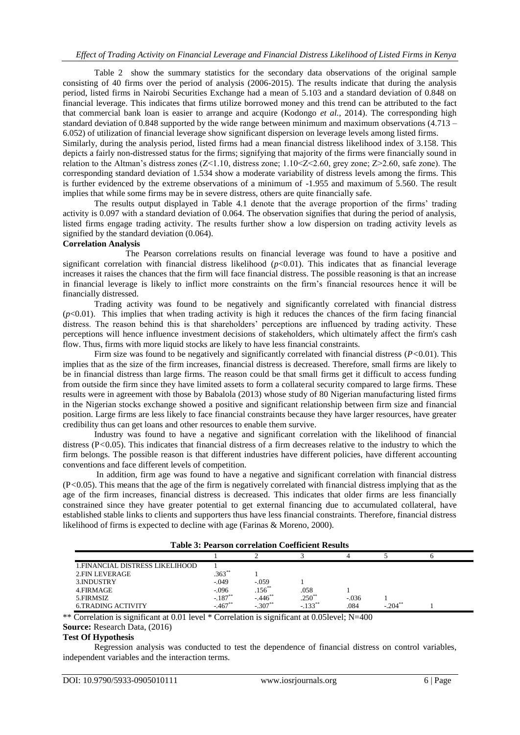Table 2 show the summary statistics for the secondary data observations of the original sample consisting of 40 firms over the period of analysis (2006-2015). The results indicate that during the analysis period, listed firms in Nairobi Securities Exchange had a mean of 5.103 and a standard deviation of 0.848 on financial leverage. This indicates that firms utilize borrowed money and this trend can be attributed to the fact that commercial bank loan is easier to arrange and acquire (Kodongo *et al.,* 2014). The corresponding high standard deviation of 0.848 supported by the wide range between minimum and maximum observations  $(4.713 -$ 6.052) of utilization of financial leverage show significant dispersion on leverage levels among listed firms.

Similarly, during the analysis period, listed firms had a mean financial distress likelihood index of 3.158. This depicts a fairly non-distressed status for the firms; signifying that majority of the firms were financially sound in relation to the Altman"s distress zones (Z<1.10, distress zone; 1.10<Z<2.60, grey zone; Z>2.60, safe zone). The corresponding standard deviation of 1.534 show a moderate variability of distress levels among the firms. This is further evidenced by the extreme observations of a minimum of -1.955 and maximum of 5.560. The result implies that while some firms may be in severe distress, others are quite financially safe.

The results output displayed in Table 4.1 denote that the average proportion of the firms" trading activity is 0.097 with a standard deviation of 0.064. The observation signifies that during the period of analysis, listed firms engage trading activity. The results further show a low dispersion on trading activity levels as signified by the standard deviation (0.064).

# **Correlation Analysis**

The Pearson correlations results on financial leverage was found to have a positive and significant correlation with financial distress likelihood  $(p<0.01)$ . This indicates that as financial leverage increases it raises the chances that the firm will face financial distress. The possible reasoning is that an increase in financial leverage is likely to inflict more constraints on the firm"s financial resources hence it will be financially distressed.

Trading activity was found to be negatively and significantly correlated with financial distress  $(p<0.01)$ . This implies that when trading activity is high it reduces the chances of the firm facing financial distress. The reason behind this is that shareholders' perceptions are influenced by trading activity. These perceptions will hence influence investment decisions of stakeholders, which ultimately affect the firm's cash flow. Thus, firms with more liquid stocks are likely to have less financial constraints.

Firm size was found to be negatively and significantly correlated with financial distress (*P<*0.01). This implies that as the size of the firm increases, financial distress is decreased. Therefore, small firms are likely to be in financial distress than large firms. The reason could be that small firms get it difficult to access funding from outside the firm since they have limited assets to form a collateral security compared to large firms. These results were in agreement with those by Babalola (2013) whose study of 80 Nigerian manufacturing listed firms in the Nigerian stocks exchange showed a positive and significant relationship between firm size and financial position. Large firms are less likely to face financial constraints because they have larger resources, have greater credibility thus can get loans and other resources to enable them survive.

Industry was found to have a negative and significant correlation with the likelihood of financial distress (P<0.05). This indicates that financial distress of a firm decreases relative to the industry to which the firm belongs. The possible reason is that different industries have different policies, have different accounting conventions and face different levels of competition.

In addition, firm age was found to have a negative and significant correlation with financial distress (P*<*0.05). This means that the age of the firm is negatively correlated with financial distress implying that as the age of the firm increases, financial distress is decreased. This indicates that older firms are less financially constrained since they have greater potential to get external financing due to accumulated collateral, have established stable links to clients and supporters thus have less financial constraints. Therefore, financial distress likelihood of firms is expected to decline with age (Farinas & Moreno, 2000).

| <b>Table 3: Pearson correlation Coefficient Results</b> |            |             |                      |         |        |  |
|---------------------------------------------------------|------------|-------------|----------------------|---------|--------|--|
|                                                         |            |             |                      |         |        |  |
| 1. FINANCIAL DISTRESS LIKELIHOOD                        |            |             |                      |         |        |  |
| 2 FIN LEVERAGE                                          | $.363**$   |             |                      |         |        |  |
| 3. INDUSTRY                                             | $-.049$    | $-.059$     |                      |         |        |  |
| 4.FIRMAGE                                               | $-.096$    | $.156^{**}$ | .058                 |         |        |  |
| 5.FIRMSIZ                                               | $-.187**$  | $-446$ **   | $.250^{**}$          | $-.036$ |        |  |
| <b>6.TRADING ACTIVITY</b>                               | $-.467$ ** | $-.307***$  | $-133$ <sup>**</sup> | .084    | $-204$ |  |

\*\* Correlation is significant at 0.01 level \* Correlation is significant at 0.05level; N=400 **Source:** Research Data, (2016)

# **Test Of Hypothesis**

Regression analysis was conducted to test the dependence of financial distress on control variables, independent variables and the interaction terms.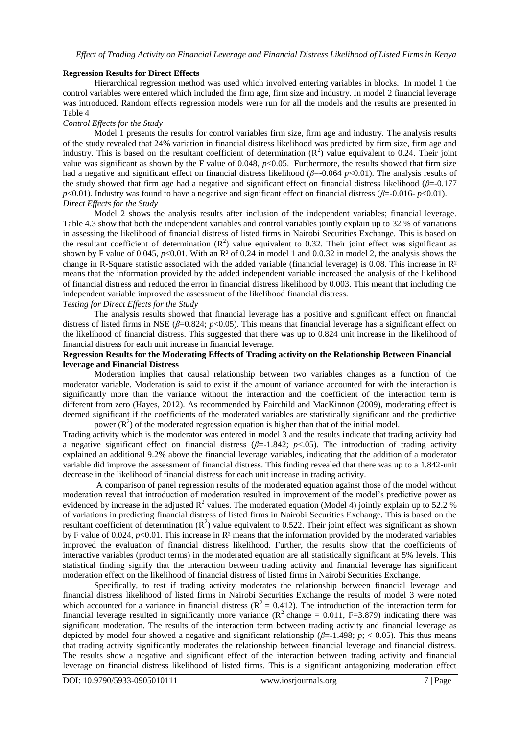### **Regression Results for Direct Effects**

Hierarchical regression method was used which involved entering variables in blocks. In model 1 the control variables were entered which included the firm age, firm size and industry. In model 2 financial leverage was introduced. Random effects regression models were run for all the models and the results are presented in Table 4

### *Control Effects for the Study*

Model 1 presents the results for control variables firm size, firm age and industry. The analysis results of the study revealed that 24% variation in financial distress likelihood was predicted by firm size, firm age and industry. This is based on the resultant coefficient of determination  $(R^2)$  value equivalent to 0.24. Their joint value was significant as shown by the F value of  $0.048$ ,  $p<0.05$ . Furthermore, the results showed that firm size had a negative and significant effect on financial distress likelihood (*β*=-0.064 *p*<0.01). The analysis results of the study showed that firm age had a negative and significant effect on financial distress likelihood (*β*=-0.177 *p*<0.01). Industry was found to have a negative and significant effect on financial distress (*β*=-0.016- *p*<0.01). *Direct Effects for the Study*

Model 2 shows the analysis results after inclusion of the independent variables; financial leverage. Table 4.3 show that both the independent variables and control variables jointly explain up to 32 % of variations in assessing the likelihood of financial distress of listed firms in Nairobi Securities Exchange. This is based on the resultant coefficient of determination  $(R^2)$  value equivalent to 0.32. Their joint effect was significant as shown by F value of 0.045,  $p<0.01$ . With an R<sup>2</sup> of 0.24 in model 1 and 0.0.32 in model 2, the analysis shows the change in R-Square statistic associated with the added variable (financial leverage) is 0.08. This increase in  $\mathbb{R}^2$ means that the information provided by the added independent variable increased the analysis of the likelihood of financial distress and reduced the error in financial distress likelihood by 0.003. This meant that including the independent variable improved the assessment of the likelihood financial distress.

# *Testing for Direct Effects for the Study*

The analysis results showed that financial leverage has a positive and significant effect on financial distress of listed firms in NSE  $(\beta=0.824; p<0.05)$ . This means that financial leverage has a significant effect on the likelihood of financial distress. This suggested that there was up to 0.824 unit increase in the likelihood of financial distress for each unit increase in financial leverage.

# **Regression Results for the Moderating Effects of Trading activity on the Relationship Between Financial leverage and Financial Distress**

Moderation implies that causal relationship between two variables changes as a function of the moderator variable. Moderation is said to exist if the amount of variance accounted for with the interaction is significantly more than the variance without the interaction and the coefficient of the interaction term is different from zero (Hayes, 2012). As recommended by Fairchild and MacKinnon (2009), moderating effect is deemed significant if the coefficients of the moderated variables are statistically significant and the predictive power  $(R^2)$  of the moderated regression equation is higher than that of the initial model.

Trading activity which is the moderator was entered in model 3 and the results indicate that trading activity had a negative significant effect on financial distress  $(\beta = -1.842; p < .05)$ . The introduction of trading activity explained an additional 9.2% above the financial leverage variables, indicating that the addition of a moderator variable did improve the assessment of financial distress. This finding revealed that there was up to a 1.842-unit decrease in the likelihood of financial distress for each unit increase in trading activity.

A comparison of panel regression results of the moderated equation against those of the model without moderation reveal that introduction of moderation resulted in improvement of the model"s predictive power as evidenced by increase in the adjusted  $\mathbb{R}^2$  values. The moderated equation (Model 4) jointly explain up to 52.2 % of variations in predicting financial distress of listed firms in Nairobi Securities Exchange. This is based on the resultant coefficient of determination  $(R^2)$  value equivalent to 0.522. Their joint effect was significant as shown by F value of 0.024,  $p<0.01$ . This increase in R<sup>2</sup> means that the information provided by the moderated variables improved the evaluation of financial distress likelihood. Further, the results show that the coefficients of interactive variables (product terms) in the moderated equation are all statistically significant at 5% levels. This statistical finding signify that the interaction between trading activity and financial leverage has significant moderation effect on the likelihood of financial distress of listed firms in Nairobi Securities Exchange.

Specifically, to test if trading activity moderates the relationship between financial leverage and financial distress likelihood of listed firms in Nairobi Securities Exchange the results of model 3 were noted which accounted for a variance in financial distress ( $R^2 = 0.412$ ). The introduction of the interaction term for financial leverage resulted in significantly more variance ( $R^2$  change = 0.011, F=3.879) indicating there was significant moderation. The results of the interaction term between trading activity and financial leverage as depicted by model four showed a negative and significant relationship (*β*=-1.498; *p*; < 0.05). This thus means that trading activity significantly moderates the relationship between financial leverage and financial distress. The results show a negative and significant effect of the interaction between trading activity and financial leverage on financial distress likelihood of listed firms. This is a significant antagonizing moderation effect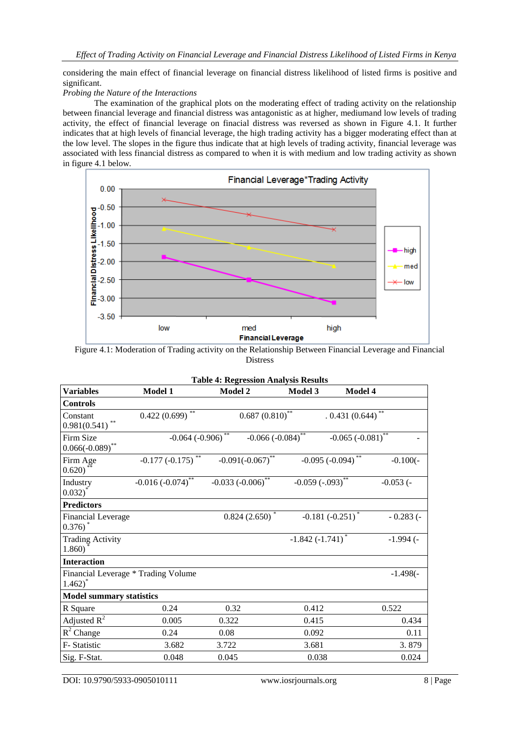considering the main effect of financial leverage on financial distress likelihood of listed firms is positive and significant.

# *Probing the Nature of the Interactions*

The examination of the graphical plots on the moderating effect of trading activity on the relationship between financial leverage and financial distress was antagonistic as at higher, mediumand low levels of trading activity, the effect of financial leverage on finacial distress was reversed as shown in Figure 4.1. It further indicates that at high levels of financial leverage, the high trading activity has a bigger moderating effect than at the low level. The slopes in the figure thus indicate that at high levels of trading activity, financial leverage was associated with less financial distress as compared to when it is with medium and low trading activity as shown in figure 4.1 below.



Figure 4.1: Moderation of Trading activity on the Relationship Between Financial Leverage and Financial Distress

|                                                             |                        | <b>Table 4: Regression Analysis Results</b> |                                                  |                |
|-------------------------------------------------------------|------------------------|---------------------------------------------|--------------------------------------------------|----------------|
| <b>Variables</b>                                            | <b>Model 1</b>         | <b>Model 2</b>                              | Model 3<br>Model 4                               |                |
| <b>Controls</b>                                             |                        |                                             |                                                  |                |
| Constant<br>**<br>0.981(0.541)                              | 0.422(0.699)           | $0.687(0.810)^{**}$                         | $.0.431(0.644)$ **                               |                |
| Firm Size<br>$0.066(-0.089)$ **                             | $-0.064 (-0.906)$ **   |                                             | $-0.066 (-0.084)^{**}$<br>$-0.065 (-0.081)^{**}$ |                |
| Firm Age<br>0.620)                                          | $-0.177 (-0.175)^{**}$ | $-0.091(-0.067)$ **                         | $-0.095$ ( $-0.094$ ) <sup>**</sup>              | $-0.100(-$     |
| Industry<br>$0.032$ )*                                      | $-0.016 (-0.074)^{**}$ | $-0.033 (-0.006)^{**}$                      | $-0.059(-0.093)$ **                              | $-0.053$ ( $-$ |
| <b>Predictors</b>                                           |                        |                                             |                                                  |                |
| <b>Financial Leverage</b><br>$0.376$ <sup>*</sup>           |                        | $0.824(2.650)$ *                            | $-0.181 (-0.251)^*$                              | $-0.283$ (-    |
| <b>Trading Activity</b><br>1.860)                           |                        |                                             | $-1.842 (-1.741)^*$                              | $-1.994$ (-    |
| <b>Interaction</b>                                          |                        |                                             |                                                  |                |
| Financial Leverage * Trading Volume<br>$1.462$ <sup>*</sup> |                        |                                             |                                                  | $-1.498(-$     |
| <b>Model summary statistics</b>                             |                        |                                             |                                                  |                |
| R Square                                                    | 0.24                   | 0.32                                        | 0.412                                            | 0.522          |
| Adjusted $R^2$                                              | 0.005                  | 0.322                                       | 0.415                                            | 0.434          |
| $R^2$ Change                                                | 0.24                   | 0.08                                        | 0.092                                            | 0.11           |
| F-Statistic                                                 | 3.682                  | 3.722                                       | 3.681                                            | 3.879          |
| Sig. F-Stat.                                                | 0.048                  | 0.045                                       | 0.038                                            | 0.024          |

DOI: 10.9790/5933-0905010111 www.iosrjournals.org 8 | Page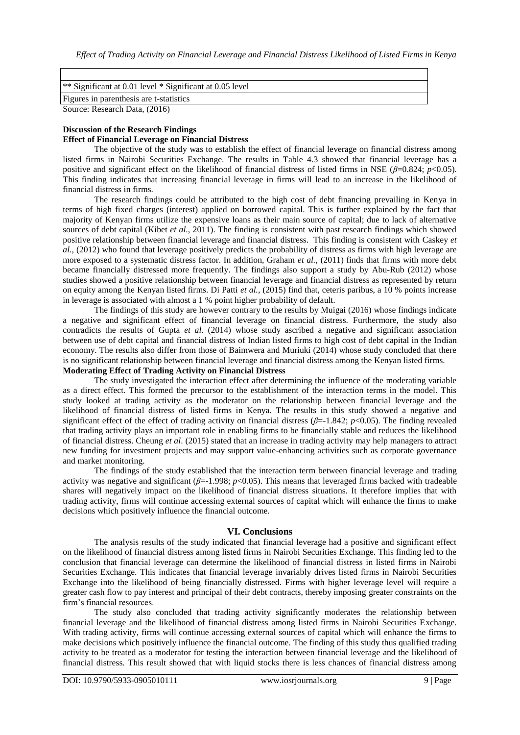| <sup>**</sup> Significant at 0.01 level * Significant at 0.05 level |
|---------------------------------------------------------------------|
| Figures in parenthesis are t-statistics                             |
| Source: Research Data, (2016)                                       |

### **Discussion of the Research Findings**

### **Effect of Financial Leverage on Financial Distress**

The objective of the study was to establish the effect of financial leverage on financial distress among listed firms in Nairobi Securities Exchange. The results in Table 4.3 showed that financial leverage has a positive and significant effect on the likelihood of financial distress of listed firms in NSE (*β*=0.824; *p*<0.05). This finding indicates that increasing financial leverage in firms will lead to an increase in the likelihood of financial distress in firms.

The research findings could be attributed to the high cost of debt financing prevailing in Kenya in terms of high fixed charges (interest) applied on borrowed capital. This is further explained by the fact that majority of Kenyan firms utilize the expensive loans as their main source of capital; due to lack of alternative sources of debt capital (Kibet *et al*., 2011). The finding is consistent with past research findings which showed positive relationship between financial leverage and financial distress. This finding is consistent with Caskey *et al.,* (2012) who found that leverage positively predicts the probability of distress as firms with high leverage are more exposed to a systematic distress factor. In addition, Graham *et al.,* (2011) finds that firms with more debt became financially distressed more frequently. The findings also support a study by Abu-Rub (2012) whose studies showed a positive relationship between financial leverage and financial distress as represented by return on equity among the Kenyan listed firms. Di Patti *et al.,* (2015) find that, ceteris paribus, a 10 % points increase in leverage is associated with almost a 1 % point higher probability of default.

The findings of this study are however contrary to the results by Muigai (2016) whose findings indicate a negative and significant effect of financial leverage on financial distress. Furthermore, the study also contradicts the results of Gupta *et al.* (2014) whose study ascribed a negative and significant association between use of debt capital and financial distress of Indian listed firms to high cost of debt capital in the Indian economy. The results also differ from those of Baimwera and Muriuki (2014) whose study concluded that there is no significant relationship between financial leverage and financial distress among the Kenyan listed firms.

# **Moderating Effect of Trading Activity on Financial Distress**

The study investigated the interaction effect after determining the influence of the moderating variable as a direct effect. This formed the precursor to the establishment of the interaction terms in the model. This study looked at trading activity as the moderator on the relationship between financial leverage and the likelihood of financial distress of listed firms in Kenya. The results in this study showed a negative and significant effect of the effect of trading activity on financial distress (*β*=-1.842; *p*<0.05). The finding revealed that trading activity plays an important role in enabling firms to be financially stable and reduces the likelihood of financial distress. Cheung *et al*. (2015) stated that an increase in trading activity may help managers to attract new funding for investment projects and may support value-enhancing activities such as corporate governance and market monitoring.

The findings of the study established that the interaction term between financial leverage and trading activity was negative and significant (*β*=-1.998; *p*<0.05). This means that leveraged firms backed with tradeable shares will negatively impact on the likelihood of financial distress situations. It therefore implies that with trading activity, firms will continue accessing external sources of capital which will enhance the firms to make decisions which positively influence the financial outcome.

### **VI. Conclusions**

The analysis results of the study indicated that financial leverage had a positive and significant effect on the likelihood of financial distress among listed firms in Nairobi Securities Exchange. This finding led to the conclusion that financial leverage can determine the likelihood of financial distress in listed firms in Nairobi Securities Exchange. This indicates that financial leverage invariably drives listed firms in Nairobi Securities Exchange into the likelihood of being financially distressed. Firms with higher leverage level will require a greater cash flow to pay interest and principal of their debt contracts, thereby imposing greater constraints on the firm"s financial resources.

The study also concluded that trading activity significantly moderates the relationship between financial leverage and the likelihood of financial distress among listed firms in Nairobi Securities Exchange. With trading activity, firms will continue accessing external sources of capital which will enhance the firms to make decisions which positively influence the financial outcome. The finding of this study thus qualified trading activity to be treated as a moderator for testing the interaction between financial leverage and the likelihood of financial distress. This result showed that with liquid stocks there is less chances of financial distress among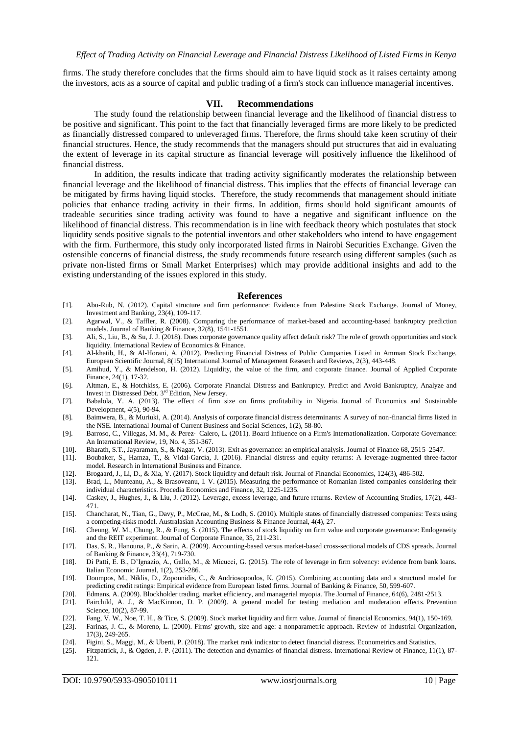firms. The study therefore concludes that the firms should aim to have liquid stock as it raises certainty among the investors, acts as a source of capital and public trading of a firm's stock can influence managerial incentives.

### **VII. Recommendations**

The study found the relationship between financial leverage and the likelihood of financial distress to be positive and significant. This point to the fact that financially leveraged firms are more likely to be predicted as financially distressed compared to unleveraged firms. Therefore, the firms should take keen scrutiny of their financial structures. Hence, the study recommends that the managers should put structures that aid in evaluating the extent of leverage in its capital structure as financial leverage will positively influence the likelihood of financial distress.

In addition, the results indicate that trading activity significantly moderates the relationship between financial leverage and the likelihood of financial distress. This implies that the effects of financial leverage can be mitigated by firms having liquid stocks. Therefore, the study recommends that management should initiate policies that enhance trading activity in their firms. In addition, firms should hold significant amounts of tradeable securities since trading activity was found to have a negative and significant influence on the likelihood of financial distress. This recommendation is in line with feedback theory which postulates that stock liquidity sends positive signals to the potential inventors and other stakeholders who intend to have engagement with the firm. Furthermore, this study only incorporated listed firms in Nairobi Securities Exchange. Given the ostensible concerns of financial distress, the study recommends future research using different samples (such as private non-listed firms or Small Market Enterprises) which may provide additional insights and add to the existing understanding of the issues explored in this study.

### **References**

- [1]. Abu-Rub, N. (2012). Capital structure and firm performance: Evidence from Palestine Stock Exchange. Journal of Money, Investment and Banking, 23(4), 109-117.
- [2]. Agarwal, V., & Taffler, R. (2008). Comparing the performance of market-based and accounting-based bankruptcy prediction models. Journal of Banking & Finance, 32(8), 1541-1551.
- [3]. Ali, S., Liu, B., & Su, J. J. (2018). Does corporate governance quality affect default risk? The role of growth opportunities and stock liquidity. International Review of Economics & Finance.
- [4]. Al-khatib, H., & Al-Horani, A. (2012). Predicting Financial Distress of Public Companies Listed in Amman Stock Exchange. European Scientific Journal, 8(15) International Journal of Management Research and Reviews, 2(3), 443-448.
- [5]. Amihud, Y., & Mendelson, H. (2012). Liquidity, the value of the firm, and corporate finance. Journal of Applied Corporate Finance, 24(1), 17-32.
- [6]. Altman, E., & Hotchkiss, E. (2006). Corporate Financial Distress and Bankruptcy. Predict and Avoid Bankruptcy, Analyze and Invest in Distressed Debt. 3<sup>rd</sup> Edition, New Jersey.
- [7]. Babalola, Y. A. (2013). The effect of firm size on firms profitability in Nigeria. Journal of Economics and Sustainable Development, 4(5), 90-94.
- [8]. Baimwera, B., & Muriuki, A. (2014). Analysis of corporate financial distress determinants: A survey of non-financial firms listed in the NSE. International Journal of Current Business and Social Sciences, 1(2), 58-80.
- [9]. Barroso, C., Villegas, M. M., & Perez‐ Calero, L. (2011). Board Influence on a Firm's Internationalization. Corporate Governance: An International Review, 19, No. 4, 351-367.
- [10]. Bharath, S.T., Jayaraman, S., & Nagar, V. (2013). Exit as governance: an empirical analysis. Journal of Finance 68, 2515–2547.
- [11]. Boubaker, S., Hamza, T., & Vidal-García, J. (2016). Financial distress and equity returns: A leverage-augmented three-factor model. Research in International Business and Finance.
- [12]. Brogaard, J., Li, D., & Xia, Y. (2017). Stock liquidity and default risk. Journal of Financial Economics, 124(3), 486-502.
- [13]. Brad, L., Munteanu, A., & Brasoveanu, I. V. (2015). Measuring the performance of Romanian listed companies considering their individual characteristics. Procedia Economics and Finance, 32, 1225-1235.
- [14]. Caskey, J., Hughes, J., & Liu, J. (2012). Leverage, excess leverage, and future returns. Review of Accounting Studies, 17(2), 443- 471.
- [15]. Chancharat, N., Tian, G., Davy, P., McCrae, M., & Lodh, S. (2010). Multiple states of financially distressed companies: Tests using a competing-risks model. Australasian Accounting Business & Finance Journal, 4(4), 27.
- [16]. Cheung, W. M., Chung, R., & Fung, S. (2015). The effects of stock liquidity on firm value and corporate governance: Endogeneity and the REIT experiment. Journal of Corporate Finance, 35, 211-231.
- [17]. Das, S. R., Hanouna, P., & Sarin, A. (2009). Accounting-based versus market-based cross-sectional models of CDS spreads. Journal of Banking & Finance, 33(4), 719-730.
- [18]. Di Patti, E. B., D"Ignazio, A., Gallo, M., & Micucci, G. (2015). The role of leverage in firm solvency: evidence from bank loans. Italian Economic Journal, 1(2), 253-286.
- [19]. Doumpos, M., Niklis, D., Zopounidis, C., & Andriosopoulos, K. (2015). Combining accounting data and a structural model for predicting credit ratings: Empirical evidence from European listed firms. Journal of Banking & Finance, 50, 599-607.
- [20]. Edmans, A. (2009). Blockholder trading, market efficiency, and managerial myopia. The Journal of Finance, 64(6), 2481-2513.
- [21]. Fairchild, A. J., & MacKinnon, D. P. (2009). A general model for testing mediation and moderation effects. Prevention Science, 10(2), 87-99.
- [22]. Fang, V. W., Noe, T. H., & Tice, S. (2009). Stock market liquidity and firm value. Journal of financial Economics, 94(1), 150-169.
- [23]. Farinas, J. C., & Moreno, L. (2000). Firms' growth, size and age: a nonparametric approach. Review of Industrial Organization, 17(3), 249-265.
- [24]. Figini, S., Maggi, M., & Uberti, P. (2018). The market rank indicator to detect financial distress. Econometrics and Statistics.
- [25]. Fitzpatrick, J., & Ogden, J. P. (2011). The detection and dynamics of financial distress. International Review of Finance, 11(1), 87- 121.